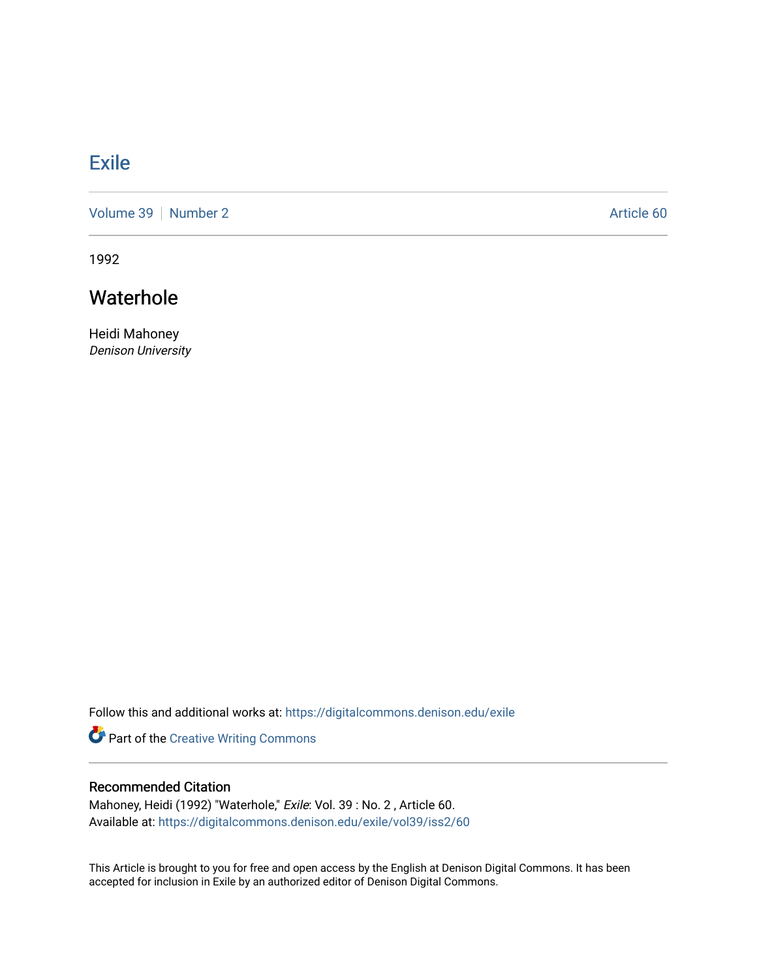## **[Exile](https://digitalcommons.denison.edu/exile)**

[Volume 39](https://digitalcommons.denison.edu/exile/vol39) [Number 2](https://digitalcommons.denison.edu/exile/vol39/iss2) Article 60

1992

## Waterhole

Heidi Mahoney Denison University

Follow this and additional works at: [https://digitalcommons.denison.edu/exile](https://digitalcommons.denison.edu/exile?utm_source=digitalcommons.denison.edu%2Fexile%2Fvol39%2Fiss2%2F60&utm_medium=PDF&utm_campaign=PDFCoverPages) 

Part of the [Creative Writing Commons](http://network.bepress.com/hgg/discipline/574?utm_source=digitalcommons.denison.edu%2Fexile%2Fvol39%2Fiss2%2F60&utm_medium=PDF&utm_campaign=PDFCoverPages) 

## Recommended Citation

Mahoney, Heidi (1992) "Waterhole," Exile: Vol. 39 : No. 2 , Article 60. Available at: [https://digitalcommons.denison.edu/exile/vol39/iss2/60](https://digitalcommons.denison.edu/exile/vol39/iss2/60?utm_source=digitalcommons.denison.edu%2Fexile%2Fvol39%2Fiss2%2F60&utm_medium=PDF&utm_campaign=PDFCoverPages)

This Article is brought to you for free and open access by the English at Denison Digital Commons. It has been accepted for inclusion in Exile by an authorized editor of Denison Digital Commons.